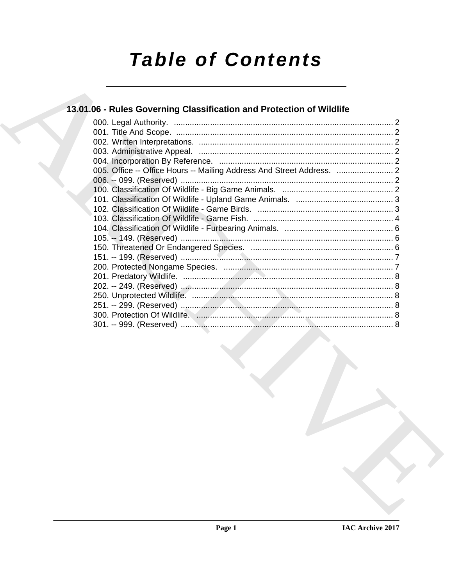# **Table of Contents**

### 13.01.06 - Rules Governing Classification and Protection of Wildlife

| 005. Office -- Office Hours -- Mailing Address And Street Address. |  |
|--------------------------------------------------------------------|--|
|                                                                    |  |
|                                                                    |  |
|                                                                    |  |
|                                                                    |  |
|                                                                    |  |
|                                                                    |  |
|                                                                    |  |
|                                                                    |  |
|                                                                    |  |
|                                                                    |  |
|                                                                    |  |
|                                                                    |  |
|                                                                    |  |
|                                                                    |  |
|                                                                    |  |
|                                                                    |  |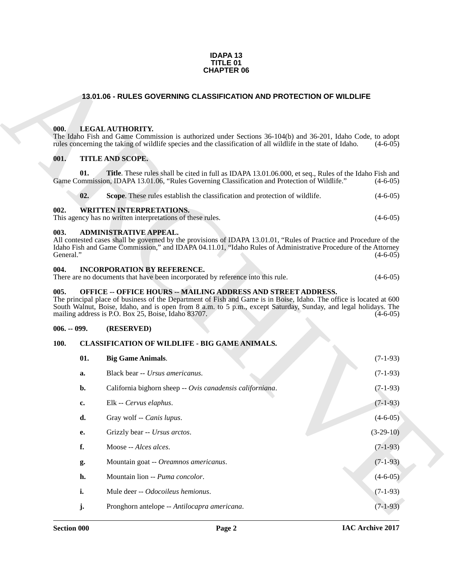#### **IDAPA 13 TITLE 01 CHAPTER 06**

### <span id="page-1-0"></span>**13.01.06 - RULES GOVERNING CLASSIFICATION AND PROTECTION OF WILDLIFE**

### <span id="page-1-1"></span>**000. LEGAL AUTHORITY.**

### <span id="page-1-2"></span>**001. TITLE AND SCOPE.**

<span id="page-1-3"></span>

|     | 02. | <b>Scope.</b> These rules establish the classification and protection of wildlife. | $(4-6-05)$ |
|-----|-----|------------------------------------------------------------------------------------|------------|
| 002 |     | <b>WRITTEN INTERPRETATIONS.</b>                                                    |            |

### <span id="page-1-4"></span>**003. ADMINISTRATIVE APPEAL.**

### <span id="page-1-5"></span>**004. INCORPORATION BY REFERENCE.**

### <span id="page-1-6"></span>**005. OFFICE -- OFFICE HOURS -- MAILING ADDRESS AND STREET ADDRESS.**

### <span id="page-1-7"></span>**006. -- 099. (RESERVED)**

### <span id="page-1-10"></span><span id="page-1-9"></span><span id="page-1-8"></span>**100. CLASSIFICATION OF WILDLIFE - BIG GAME ANIMALS.**

|                   |              | <b>CHAPTER 06</b>                                                                                                                                                                                                                                                                                                                                                     |             |
|-------------------|--------------|-----------------------------------------------------------------------------------------------------------------------------------------------------------------------------------------------------------------------------------------------------------------------------------------------------------------------------------------------------------------------|-------------|
|                   |              | 13.01.06 - RULES GOVERNING CLASSIFICATION AND PROTECTION OF WILDLIFE                                                                                                                                                                                                                                                                                                  |             |
| 000.              |              | LEGAL AUTHORITY.<br>The Idaho Fish and Game Commission is authorized under Sections 36-104(b) and 36-201, Idaho Code, to adopt<br>rules concerning the taking of wildlife species and the classification of all wildlife in the state of Idaho.                                                                                                                       | $(4-6-05)$  |
| 001.              |              | TITLE AND SCOPE.                                                                                                                                                                                                                                                                                                                                                      |             |
|                   | 01.          | Title. These rules shall be cited in full as IDAPA 13.01.06.000, et seq., Rules of the Idaho Fish and<br>Game Commission, IDAPA 13.01.06, "Rules Governing Classification and Protection of Wildlife."                                                                                                                                                                | $(4-6-05)$  |
|                   | 02.          | Scope. These rules establish the classification and protection of wildlife.                                                                                                                                                                                                                                                                                           | $(4-6-05)$  |
| 002.              |              | <b>WRITTEN INTERPRETATIONS.</b><br>This agency has no written interpretations of these rules.                                                                                                                                                                                                                                                                         | $(4-6-05)$  |
| 003.<br>General." |              | <b>ADMINISTRATIVE APPEAL.</b><br>All contested cases shall be governed by the provisions of IDAPA 13.01.01, "Rules of Practice and Procedure of the<br>Idaho Fish and Game Commission," and IDAPA 04.11.01, "Idaho Rules of Administrative Procedure of the Attorney                                                                                                  | $(4-6-05)$  |
| 004.              |              | <b>INCORPORATION BY REFERENCE.</b><br>There are no documents that have been incorporated by reference into this rule.                                                                                                                                                                                                                                                 | $(4-6-05)$  |
| 005.              |              | <b>OFFICE -- OFFICE HOURS -- MAILING ADDRESS AND STREET ADDRESS.</b><br>The principal place of business of the Department of Fish and Game is in Boise, Idaho. The office is located at 600<br>South Walnut, Boise, Idaho, and is open from 8 a.m. to 5 p.m., except Saturday, Sunday, and legal holidays. The<br>mailing address is P.O. Box 25, Boise, Idaho 83707. | $(4-6-05)$  |
| $006. - 099.$     |              | (RESERVED)                                                                                                                                                                                                                                                                                                                                                            |             |
| <b>100.</b>       |              | CLASSIFICATION OF WILDLIFE - BIG GAME ANIMALS.                                                                                                                                                                                                                                                                                                                        |             |
|                   | 01.          | <b>Big Game Animals.</b>                                                                                                                                                                                                                                                                                                                                              | $(7-1-93)$  |
|                   | a.           | Black bear -- Ursus americanus.                                                                                                                                                                                                                                                                                                                                       | $(7-1-93)$  |
|                   | b.           | California bighorn sheep -- Ovis canadensis californiana.                                                                                                                                                                                                                                                                                                             | $(7-1-93)$  |
|                   | $\mathbf{c}$ | Elk -- Cervus elaphus.                                                                                                                                                                                                                                                                                                                                                | $(7-1-93)$  |
|                   | d.           | Gray wolf -- Canis lupus.                                                                                                                                                                                                                                                                                                                                             | $(4-6-05)$  |
|                   | e.           | Grizzly bear -- Ursus arctos.                                                                                                                                                                                                                                                                                                                                         | $(3-29-10)$ |
|                   | f.           | Moose -- Alces alces.                                                                                                                                                                                                                                                                                                                                                 | $(7-1-93)$  |
|                   | g.           | Mountain goat -- Oreamnos americanus.                                                                                                                                                                                                                                                                                                                                 | $(7-1-93)$  |
|                   | h.           | Mountain lion -- Puma concolor.                                                                                                                                                                                                                                                                                                                                       | $(4-6-05)$  |
| i.                |              | Mule deer -- Odocoileus hemionus.                                                                                                                                                                                                                                                                                                                                     | $(7-1-93)$  |
|                   | j.           | Pronghorn antelope -- Antilocapra americana.                                                                                                                                                                                                                                                                                                                          | $(7-1-93)$  |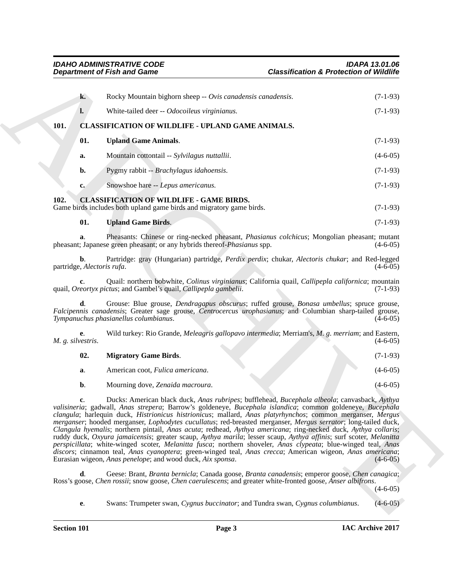<span id="page-2-6"></span><span id="page-2-5"></span><span id="page-2-2"></span><span id="page-2-1"></span><span id="page-2-0"></span>

|      |                                  | <b>Department of Fish and Game</b>                                                                                                                                                                                                                                                                                                                                                                                                                                                                                                                                                                                                                                                                                                                                                                                                                                                                                                                                            | <b>Classification &amp; Protection of Wildlife</b> |            |
|------|----------------------------------|-------------------------------------------------------------------------------------------------------------------------------------------------------------------------------------------------------------------------------------------------------------------------------------------------------------------------------------------------------------------------------------------------------------------------------------------------------------------------------------------------------------------------------------------------------------------------------------------------------------------------------------------------------------------------------------------------------------------------------------------------------------------------------------------------------------------------------------------------------------------------------------------------------------------------------------------------------------------------------|----------------------------------------------------|------------|
|      | k.                               | Rocky Mountain bighorn sheep -- Ovis canadensis canadensis.                                                                                                                                                                                                                                                                                                                                                                                                                                                                                                                                                                                                                                                                                                                                                                                                                                                                                                                   |                                                    | $(7-1-93)$ |
|      | $\mathbf{l}$ .                   | White-tailed deer -- Odocoileus virginianus.                                                                                                                                                                                                                                                                                                                                                                                                                                                                                                                                                                                                                                                                                                                                                                                                                                                                                                                                  |                                                    | $(7-1-93)$ |
| 101. |                                  | <b>CLASSIFICATION OF WILDLIFE - UPLAND GAME ANIMALS.</b>                                                                                                                                                                                                                                                                                                                                                                                                                                                                                                                                                                                                                                                                                                                                                                                                                                                                                                                      |                                                    |            |
|      | 01.                              | <b>Upland Game Animals.</b>                                                                                                                                                                                                                                                                                                                                                                                                                                                                                                                                                                                                                                                                                                                                                                                                                                                                                                                                                   |                                                    | $(7-1-93)$ |
|      | a.                               | Mountain cottontail -- Sylvilagus nuttallii.                                                                                                                                                                                                                                                                                                                                                                                                                                                                                                                                                                                                                                                                                                                                                                                                                                                                                                                                  |                                                    | $(4-6-05)$ |
|      | b.                               | Pygmy rabbit -- Brachylagus idahoensis.                                                                                                                                                                                                                                                                                                                                                                                                                                                                                                                                                                                                                                                                                                                                                                                                                                                                                                                                       |                                                    | $(7-1-93)$ |
|      | $c_{\bullet}$                    | Snowshoe hare -- Lepus americanus.                                                                                                                                                                                                                                                                                                                                                                                                                                                                                                                                                                                                                                                                                                                                                                                                                                                                                                                                            |                                                    | $(7-1-93)$ |
| 102. |                                  | <b>CLASSIFICATION OF WILDLIFE - GAME BIRDS.</b><br>Game birds includes both upland game birds and migratory game birds.                                                                                                                                                                                                                                                                                                                                                                                                                                                                                                                                                                                                                                                                                                                                                                                                                                                       |                                                    | $(7-1-93)$ |
|      | 01.                              | <b>Upland Game Birds.</b>                                                                                                                                                                                                                                                                                                                                                                                                                                                                                                                                                                                                                                                                                                                                                                                                                                                                                                                                                     |                                                    | $(7-1-93)$ |
|      | a.                               | Pheasants: Chinese or ring-necked pheasant, Phasianus colchicus; Mongolian pheasant; mutant<br>pheasant; Japanese green pheasant; or any hybrids thereof-Phasianus spp.                                                                                                                                                                                                                                                                                                                                                                                                                                                                                                                                                                                                                                                                                                                                                                                                       |                                                    | $(4-6-05)$ |
|      | b.<br>partridge, Alectoris rufa. | Partridge: gray (Hungarian) partridge, Perdix perdix; chukar, Alectoris chukar; and Red-legged                                                                                                                                                                                                                                                                                                                                                                                                                                                                                                                                                                                                                                                                                                                                                                                                                                                                                |                                                    | $(4-6-05)$ |
|      |                                  | Quail: northern bobwhite, Colinus virginianus; California quail, Callipepla californica; mountain<br>quail, Oreortyx pictus; and Gambel's quail, Callipepla gambelii.                                                                                                                                                                                                                                                                                                                                                                                                                                                                                                                                                                                                                                                                                                                                                                                                         |                                                    | $(7-1-93)$ |
|      |                                  | Grouse: Blue grouse, <i>Dendragapus obscurus</i> ; ruffed grouse, <i>Bonasa umbellus</i> ; spruce grouse,<br>Falcipennis canadensis; Greater sage grouse, Centrocercus urophasianus; and Columbian sharp-tailed grouse,<br>Tympanuchus phasianellus columbianus.                                                                                                                                                                                                                                                                                                                                                                                                                                                                                                                                                                                                                                                                                                              |                                                    | $(4-6-05)$ |
|      | е.<br>M. g. silvestris.          | Wild turkey: Rio Grande, Meleagris gallopavo intermedia; Merriam's, M. g. merriam; and Eastern,                                                                                                                                                                                                                                                                                                                                                                                                                                                                                                                                                                                                                                                                                                                                                                                                                                                                               |                                                    | $(4-6-05)$ |
|      | 02.                              | <b>Migratory Game Birds.</b>                                                                                                                                                                                                                                                                                                                                                                                                                                                                                                                                                                                                                                                                                                                                                                                                                                                                                                                                                  |                                                    | $(7-1-93)$ |
|      | a.                               | American coot, Fulica americana.                                                                                                                                                                                                                                                                                                                                                                                                                                                                                                                                                                                                                                                                                                                                                                                                                                                                                                                                              |                                                    | $(4-6-05)$ |
|      | b.                               | Mourning dove, Zenaida macroura.                                                                                                                                                                                                                                                                                                                                                                                                                                                                                                                                                                                                                                                                                                                                                                                                                                                                                                                                              |                                                    | $(4-6-05)$ |
|      |                                  | Ducks: American black duck, Anas rubripes; bufflehead, Bucephala albeola; canvasback, Aythya<br>valisineria; gadwall, Anas strepera; Barrow's goldeneye, Bucephala islandica; common goldeneye, Bucephala<br>clangula; harlequin duck, Histrionicus histrionicus; mallard, Anas platyrhynchos; common merganser, Mergus<br>merganser; hooded merganser, Lophodytes cucullatus; red-breasted merganser, Mergus serrator; long-tailed duck,<br>Clangula hyemalis; northern pintail, Anas acuta; redhead, Aythya americana; ring-necked duck, Aythya collaris;<br>ruddy duck, Oxyura jamaicensis; greater scaup, Aythya marila; lesser scaup, Aythya affinis; surf scoter, Melanitta<br>perspicillata; white-winged scoter, Melanitta fusca; northern shoveler, Anas clypeata; blue-winged teal, Anas<br>discors; cinnamon teal, Anas cyanoptera; green-winged teal, Anas crecca; American wigeon, Anas americana;<br>Eurasian wigeon, Anas penelope; and wood duck, Aix sponsa. |                                                    | $(4-6-05)$ |
|      |                                  | Geese: Brant, Branta bernicla; Canada goose, Branta canadensis; emperor goose, Chen canagica;                                                                                                                                                                                                                                                                                                                                                                                                                                                                                                                                                                                                                                                                                                                                                                                                                                                                                 |                                                    |            |
|      | d.                               | Ross's goose, Chen rossii; snow goose, Chen caerulescens; and greater white-fronted goose, Anser albifrons.                                                                                                                                                                                                                                                                                                                                                                                                                                                                                                                                                                                                                                                                                                                                                                                                                                                                   |                                                    | $(4-6-05)$ |

<span id="page-2-4"></span><span id="page-2-3"></span>

| 02. | <b>Migratory Game Birds.</b>             |  | $(7-1-93)$ |
|-----|------------------------------------------|--|------------|
| а.  | American coot, <i>Fulica americana</i> . |  | $(4-6-05)$ |
| b.  | Mourning dove, Zenaida macroura.         |  | $(4-6-05)$ |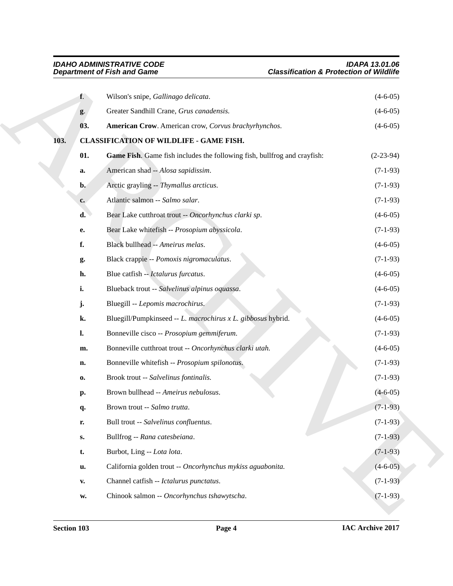<span id="page-3-3"></span><span id="page-3-2"></span><span id="page-3-1"></span><span id="page-3-0"></span>

|      |                | <b>Department of Fish and Game</b>                                       | <b>Classification &amp; Protection of Wildlife</b> |
|------|----------------|--------------------------------------------------------------------------|----------------------------------------------------|
|      | $f_{\cdot}$    | Wilson's snipe, Gallinago delicata.                                      | $(4-6-05)$                                         |
|      | $g$ .          | Greater Sandhill Crane, Grus canadensis.                                 | $(4-6-05)$                                         |
|      | 03.            | American Crow. American crow, Corvus brachyrhynchos.                     | $(4-6-05)$                                         |
| 103. |                | <b>CLASSIFICATION OF WILDLIFE - GAME FISH.</b>                           |                                                    |
|      | 01.            | Game Fish. Game fish includes the following fish, bullfrog and crayfish: | $(2-23-94)$                                        |
|      | a.             | American shad -- Alosa sapidissim.                                       | $(7-1-93)$                                         |
|      | $b$ .          | Arctic grayling -- Thymallus arcticus.                                   | $(7-1-93)$                                         |
|      | c.             | Atlantic salmon -- Salmo salar.                                          | $(7-1-93)$                                         |
|      | d.             | Bear Lake cutthroat trout -- Oncorhynchus clarki sp.                     | $(4-6-05)$                                         |
|      | е.             | Bear Lake whitefish -- Prosopium abyssicola.                             | $(7-1-93)$                                         |
|      | f.             | Black bullhead -- Ameirus melas.                                         | $(4-6-05)$                                         |
|      | g.             | Black crappie -- Pomoxis nigromaculatus.                                 | $(7-1-93)$                                         |
|      | h.             | Blue catfish -- Ictalurus furcatus.                                      | $(4-6-05)$                                         |
|      | i.             | Blueback trout -- Salvelinus alpinus oquassa.                            | $(4-6-05)$                                         |
|      | j.             | Bluegill -- Lepomis macrochirus.                                         | $(7-1-93)$                                         |
|      | k.             | Bluegill/Pumpkinseed -- L. macrochirus x L. gibbosus hybrid.             | $(4-6-05)$                                         |
|      | $\mathbf{l}$ . | Bonneville cisco -- Prosopium gemmiferum.                                | $(7-1-93)$                                         |
|      | m.             | Bonneville cutthroat trout -- Oncorhynchus clarki utah.                  | $(4-6-05)$                                         |
|      | n.             | Bonneville whitefish -- Prosopium spilonotus.                            | $(7-1-93)$                                         |
|      | 0.             | Brook trout -- Salvelinus fontinalis.                                    | $(7-1-93)$                                         |
|      | p.             | Brown bullhead -- Ameirus nebulosus.                                     | $(4-6-05)$                                         |
|      | q.             | Brown trout -- Salmo trutta.                                             | $(7-1-93)$                                         |
|      | r.             | Bull trout -- Salvelinus confluentus.                                    | $(7-1-93)$                                         |
|      | $\mathbf{S}$ . | Bullfrog -- Rana catesbeiana.                                            | $(7-1-93)$                                         |
|      | t.             | Burbot, Ling -- Lota lota.                                               | $(7-1-93)$                                         |
|      | u.             | California golden trout -- Oncorhynchus mykiss aguabonita.               | $(4-6-05)$                                         |
|      | $\mathbf{v}$ . | Channel catfish -- Ictalurus punctatus.                                  | $(7-1-93)$                                         |
|      |                | Chinook salmon -- Oncorhynchus tshawytscha.                              | $(7-1-93)$                                         |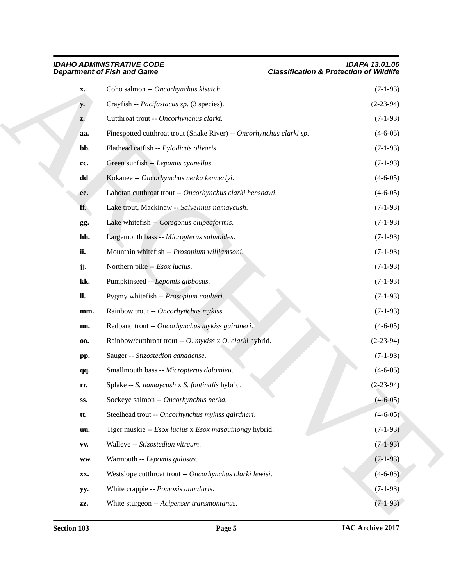|                | <b>IDAHO ADMINISTRATIVE CODE</b><br><b>Department of Fish and Game</b> | <b>IDAPA 13.01.06</b><br><b>Classification &amp; Protection of Wildlife</b> |
|----------------|------------------------------------------------------------------------|-----------------------------------------------------------------------------|
| X.             | Coho salmon -- Oncorhynchus kisutch.                                   | $(7-1-93)$                                                                  |
| y.             | Crayfish -- Pacifastacus sp. (3 species).                              | $(2-23-94)$                                                                 |
| z.             | Cutthroat trout -- Oncorhynchus clarki.                                | $(7-1-93)$                                                                  |
| aa.            | Finespotted cutthroat trout (Snake River) -- Oncorhynchus clarki sp.   | $(4-6-05)$                                                                  |
| bb.            | Flathead catfish -- Pylodictis olivaris.                               | $(7-1-93)$                                                                  |
| cc.            | Green sunfish -- Lepomis cyanellus.                                    | $(7-1-93)$                                                                  |
| dd.            | Kokanee -- Oncorhynchus nerka kennerlyi.                               | $(4-6-05)$                                                                  |
| ee.            | Lahotan cutthroat trout -- Oncorhynchus clarki henshawi.               | $(4-6-05)$                                                                  |
| ff.            | Lake trout, Mackinaw -- Salvelinus namaycush.                          | $(7-1-93)$                                                                  |
| gg.            | Lake whitefish -- Coregonus clupeaformis.                              | $(7-1-93)$                                                                  |
| hh.            | Largemouth bass -- Micropterus salmoides.                              | $(7-1-93)$                                                                  |
| ii.            | Mountain whitefish -- Prosopium williamsoni.                           | $(7-1-93)$                                                                  |
| jj.            | Northern pike -- Esox lucius.                                          | $(7-1-93)$                                                                  |
| kk.            | Pumpkinseed -- Lepomis gibbosus.                                       | $(7-1-93)$                                                                  |
| $\mathbf{u}$ . | Pygmy whitefish -- Prosopium coulteri.                                 | $(7-1-93)$                                                                  |
| mm.            | Rainbow trout -- Oncorhynchus mykiss.                                  | $(7-1-93)$                                                                  |
| nn.            | Redband trout -- Oncorhynchus mykiss gairdneri.                        | $(4-6-05)$                                                                  |
| 00.            | Rainbow/cutthroat trout -- O. mykiss x O. clarki hybrid.               | $(2-23-94)$                                                                 |
| pp.            | Sauger -- Stizostedion canadense.                                      | $(7-1-93)$                                                                  |
| qq.            | Smallmouth bass -- Micropterus dolomieu.                               | $(4-6-05)$                                                                  |
| LT.            | Splake -- S. namaycush x S. fontinalis hybrid.                         | $(2-23-94)$                                                                 |
| SS.            | Sockeye salmon -- Oncorhynchus nerka.                                  | $(4 - 6 - 05)$                                                              |
| tt.            | Steelhead trout -- Oncorhynchus mykiss gairdneri.                      | $(4-6-05)$                                                                  |
| uu.            | Tiger muskie -- Esox lucius x Esox masquinongy hybrid.                 | $(7-1-93)$                                                                  |
| VV.            | Walleye -- Stizostedion vitreum.                                       | $(7-1-93)$                                                                  |
| ww.            | Warmouth -- Lepomis gulosus.                                           | $(7-1-93)$                                                                  |
| XX.            | Westslope cutthroat trout -- Oncorhynchus clarki lewisi.               | $(4-6-05)$                                                                  |
| yy.            | White crappie -- Pomoxis annularis.                                    | $(7-1-93)$                                                                  |
| ZZ.            | White sturgeon -- Acipenser transmontanus.                             | $(7-1-93)$                                                                  |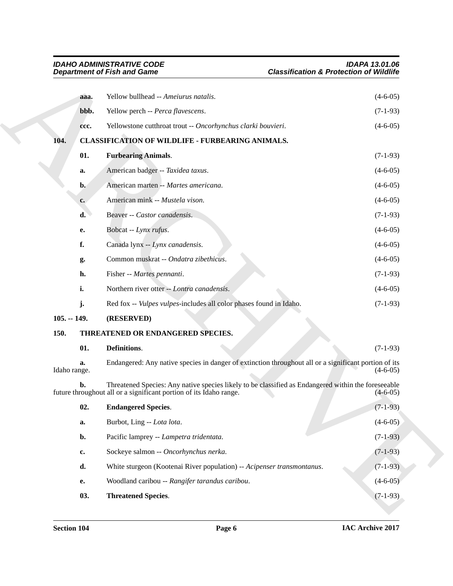<span id="page-5-8"></span><span id="page-5-7"></span><span id="page-5-6"></span><span id="page-5-5"></span><span id="page-5-4"></span><span id="page-5-3"></span><span id="page-5-2"></span><span id="page-5-1"></span><span id="page-5-0"></span>

|               | <b>Department of Fish and Game</b> |                                                                                                                                                                           | <b>Classification &amp; Protection of Wildlife</b>   |  |
|---------------|------------------------------------|---------------------------------------------------------------------------------------------------------------------------------------------------------------------------|------------------------------------------------------|--|
|               | aaa.                               | Yellow bullhead -- Ameiurus natalis.                                                                                                                                      | $(4-6-05)$                                           |  |
|               | bbb.                               | Yellow perch -- Perca flavescens.                                                                                                                                         | $(7-1-93)$                                           |  |
|               | ccc.                               | Yellowstone cutthroat trout -- Oncorhynchus clarki bouvieri.                                                                                                              | $(4-6-05)$                                           |  |
| 104.          |                                    | <b>CLASSIFICATION OF WILDLIFE - FURBEARING ANIMALS.</b>                                                                                                                   |                                                      |  |
|               | 01.                                | <b>Furbearing Animals.</b>                                                                                                                                                | $(7-1-93)$                                           |  |
|               | a.                                 | American badger -- Taxidea taxus.                                                                                                                                         | $(4-6-05)$                                           |  |
|               | $\mathbf{b}$ .                     | American marten -- Martes americana.                                                                                                                                      | $(4-6-05)$                                           |  |
|               | c.                                 | American mink -- Mustela vison.                                                                                                                                           | $(4-6-05)$                                           |  |
|               | d.                                 | Beaver -- Castor canadensis.                                                                                                                                              | $(7-1-93)$                                           |  |
|               | е.                                 | Bobcat -- Lynx rufus.                                                                                                                                                     | $(4-6-05)$                                           |  |
|               | f.                                 | Canada lynx -- Lynx canadensis.                                                                                                                                           | $(4-6-05)$                                           |  |
|               | g.                                 | Common muskrat -- Ondatra zibethicus.                                                                                                                                     | $(4-6-05)$                                           |  |
|               | h.                                 | Fisher -- Martes pennanti.                                                                                                                                                | $(7-1-93)$                                           |  |
|               | i.                                 | Northern river otter -- Lontra canadensis.                                                                                                                                | $(4-6-05)$                                           |  |
|               | j.                                 | Red fox -- Vulpes vulpes-includes all color phases found in Idaho.                                                                                                        | $(7-1-93)$                                           |  |
| $105. - 149.$ |                                    | (RESERVED)                                                                                                                                                                |                                                      |  |
| 150.          |                                    | THREATENED OR ENDANGERED SPECIES.                                                                                                                                         |                                                      |  |
|               | 01.                                | Definitions.                                                                                                                                                              | $(7-1-93)$                                           |  |
|               | a.<br>Idaho range.                 | Endangered: Any native species in danger of extinction throughout all or a significant portion of its                                                                     | $(4-6-05)$                                           |  |
|               | b.                                 | Threatened Species: Any native species likely to be classified as Endangered within the foreseeable<br>future throughout all or a significant portion of its Idaho range. | $(4-6-05)$                                           |  |
|               |                                    |                                                                                                                                                                           |                                                      |  |
|               | 02.                                | <b>Endangered Species.</b>                                                                                                                                                |                                                      |  |
|               | a.                                 | Burbot, Ling -- Lota lota.                                                                                                                                                |                                                      |  |
|               | $\mathbf{b}$ .                     | Pacific lamprey -- Lampetra tridentata.                                                                                                                                   |                                                      |  |
|               | c.                                 | Sockeye salmon -- Oncorhynchus nerka.                                                                                                                                     | $(7-1-93)$<br>$(4-6-05)$<br>$(7-1-93)$<br>$(7-1-93)$ |  |
|               | d.                                 | White sturgeon (Kootenai River population) -- Acipenser transmontanus.                                                                                                    |                                                      |  |
|               | <b>e.</b>                          | Woodland caribou -- Rangifer tarandus caribou.                                                                                                                            | $(7-1-93)$<br>$(4-6-05)$                             |  |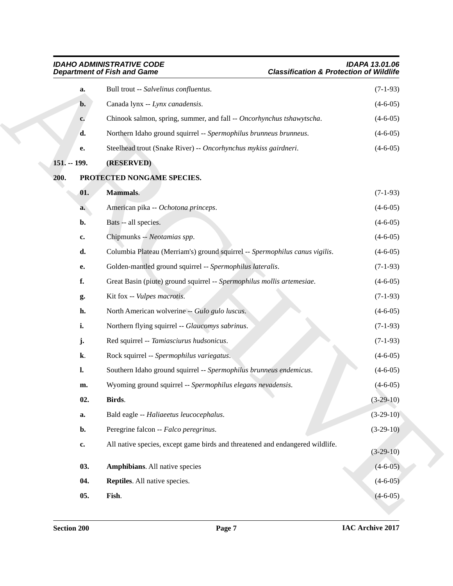<span id="page-6-7"></span><span id="page-6-6"></span><span id="page-6-5"></span><span id="page-6-4"></span><span id="page-6-3"></span><span id="page-6-2"></span><span id="page-6-1"></span><span id="page-6-0"></span>

|                | <b>IDAHO ADMINISTRATIVE CODE</b><br><b>Classification &amp; Protection of Wildlife</b><br><b>Department of Fish and Game</b> | IDAPA 13.01.06 |
|----------------|------------------------------------------------------------------------------------------------------------------------------|----------------|
| a.             | Bull trout -- Salvelinus confluentus.                                                                                        | $(7-1-93)$     |
| $\mathbf{b}$ . | Canada lynx -- Lynx canadensis.                                                                                              | $(4-6-05)$     |
| c.             | Chinook salmon, spring, summer, and fall -- Oncorhynchus tshawytscha.                                                        | $(4-6-05)$     |
| d.             | Northern Idaho ground squirrel -- Spermophilus brunneus brunneus.                                                            | $(4-6-05)$     |
| е.             | Steelhead trout (Snake River) -- Oncorhynchus mykiss gairdneri.                                                              | $(4-6-05)$     |
| 151. -- 199.   | (RESERVED)                                                                                                                   |                |
| 200.           | PROTECTED NONGAME SPECIES.                                                                                                   |                |
| 01.            | <b>Mammals.</b>                                                                                                              | $(7-1-93)$     |
| a.             | American pika -- Ochotona princeps.                                                                                          | $(4-6-05)$     |
| b.             | Bats -- all species.                                                                                                         | $(4-6-05)$     |
| c.             | Chipmunks -- Neotamias spp.                                                                                                  | $(4-6-05)$     |
| d.             | Columbia Plateau (Merriam's) ground squirrel -- Spermophilus canus vigilis.                                                  | $(4-6-05)$     |
| е.             | Golden-mantled ground squirrel -- Spermophilus lateralis.                                                                    | $(7-1-93)$     |
| f.             | Great Basin (piute) ground squirrel -- Spermophilus mollis artemesiae.                                                       | $(4-6-05)$     |
| g.             | Kit fox -- Vulpes macrotis.                                                                                                  | $(7-1-93)$     |
| h.             | North American wolverine -- Gulo gulo luscus.                                                                                | $(4-6-05)$     |
| i.             | Northern flying squirrel -- Glaucomys sabrinus.                                                                              | $(7-1-93)$     |
| j.             | Red squirrel -- Tamiasciurus hudsonicus.                                                                                     | $(7-1-93)$     |
| k.             | Rock squirrel -- Spermophilus variegatus.                                                                                    | $(4-6-05)$     |
| l.             | Southern Idaho ground squirrel -- Spermophilus brunneus endemicus.                                                           | $(4-6-05)$     |
| m.             | Wyoming ground squirrel -- Spermophilus elegans nevadensis.                                                                  | $(4-6-05)$     |
| 02.            | Birds.                                                                                                                       | $(3-29-10)$    |
| a.             | Bald eagle -- Haliaeetus leucocephalus.                                                                                      | $(3-29-10)$    |
| b.             | Peregrine falcon -- Falco peregrinus.                                                                                        | $(3-29-10)$    |
| $\mathbf{c}$   | All native species, except game birds and threatened and endangered wildlife.                                                | $(3-29-10)$    |
| 03.            | <b>Amphibians.</b> All native species                                                                                        | $(4-6-05)$     |
| 04.            | Reptiles. All native species.                                                                                                | $(4-6-05)$     |
| 05.            | Fish.                                                                                                                        | $(4-6-05)$     |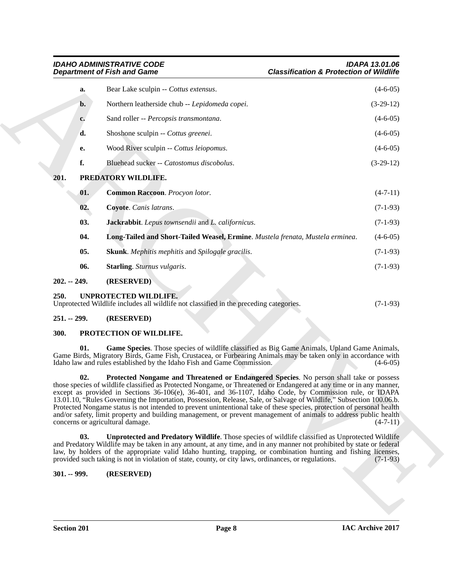## <span id="page-7-6"></span><span id="page-7-0"></span>*IDAHO ADMINISTRATIVE CODE IDAPA 13.01.06*

## *Department of Fish and Game Classification & Protection of Wildlife*

| <b>Department of Fish and Game</b> |                                                                                                                                                                                                                                                                                                                                                                                                                                                                                                                                                                                                                                                                                                                                      | <b>Classification &amp; Protection of Wildlife</b> |  |
|------------------------------------|--------------------------------------------------------------------------------------------------------------------------------------------------------------------------------------------------------------------------------------------------------------------------------------------------------------------------------------------------------------------------------------------------------------------------------------------------------------------------------------------------------------------------------------------------------------------------------------------------------------------------------------------------------------------------------------------------------------------------------------|----------------------------------------------------|--|
| a.                                 | Bear Lake sculpin -- Cottus extensus.                                                                                                                                                                                                                                                                                                                                                                                                                                                                                                                                                                                                                                                                                                | $(4-6-05)$                                         |  |
| $\mathbf{b}$ .                     | Northern leatherside chub -- Lepidomeda copei.                                                                                                                                                                                                                                                                                                                                                                                                                                                                                                                                                                                                                                                                                       | $(3-29-12)$                                        |  |
| c.                                 | Sand roller -- Percopsis transmontana.                                                                                                                                                                                                                                                                                                                                                                                                                                                                                                                                                                                                                                                                                               | $(4-6-05)$                                         |  |
| d.                                 | Shoshone sculpin -- Cottus greenei.                                                                                                                                                                                                                                                                                                                                                                                                                                                                                                                                                                                                                                                                                                  | $(4-6-05)$                                         |  |
| е.                                 | Wood River sculpin -- Cottus leiopomus.                                                                                                                                                                                                                                                                                                                                                                                                                                                                                                                                                                                                                                                                                              | $(4-6-05)$                                         |  |
| f.                                 | Bluehead sucker -- Catostomus discobolus.                                                                                                                                                                                                                                                                                                                                                                                                                                                                                                                                                                                                                                                                                            | $(3-29-12)$                                        |  |
| 201.                               | PREDATORY WILDLIFE.                                                                                                                                                                                                                                                                                                                                                                                                                                                                                                                                                                                                                                                                                                                  |                                                    |  |
| 01.                                | Common Raccoon. Procyon lotor.                                                                                                                                                                                                                                                                                                                                                                                                                                                                                                                                                                                                                                                                                                       | $(4-7-11)$                                         |  |
| 02.                                | Coyote. Canis latrans.                                                                                                                                                                                                                                                                                                                                                                                                                                                                                                                                                                                                                                                                                                               | $(7-1-93)$                                         |  |
| 03.                                | Jackrabbit. Lepus townsendii and L. californicus.                                                                                                                                                                                                                                                                                                                                                                                                                                                                                                                                                                                                                                                                                    | $(7-1-93)$                                         |  |
| 04.                                | Long-Tailed and Short-Tailed Weasel, Ermine. Mustela frenata, Mustela erminea.                                                                                                                                                                                                                                                                                                                                                                                                                                                                                                                                                                                                                                                       | $(4-6-05)$                                         |  |
| 05.                                | <b>Skunk</b> . Mephitis mephitis and Spilogale gracilis.                                                                                                                                                                                                                                                                                                                                                                                                                                                                                                                                                                                                                                                                             | $(7-1-93)$                                         |  |
| 06.                                | <b>Starling.</b> Sturnus vulgaris.                                                                                                                                                                                                                                                                                                                                                                                                                                                                                                                                                                                                                                                                                                   | $(7-1-93)$                                         |  |
| $202. - 249.$                      | (RESERVED)                                                                                                                                                                                                                                                                                                                                                                                                                                                                                                                                                                                                                                                                                                                           |                                                    |  |
| 250.                               | UNPROTECTED WILDLIFE.<br>Unprotected Wildlife includes all wildlife not classified in the preceding categories.                                                                                                                                                                                                                                                                                                                                                                                                                                                                                                                                                                                                                      | $(7-1-93)$                                         |  |
| $251. - 299.$                      | (RESERVED)                                                                                                                                                                                                                                                                                                                                                                                                                                                                                                                                                                                                                                                                                                                           |                                                    |  |
| 300.                               | PROTECTION OF WILDLIFE.                                                                                                                                                                                                                                                                                                                                                                                                                                                                                                                                                                                                                                                                                                              |                                                    |  |
| 01.                                | Game Species. Those species of wildlife classified as Big Game Animals, Upland Game Animals,<br>Game Birds, Migratory Birds, Game Fish, Crustacea, or Furbearing Animals may be taken only in accordance with<br>Idaho law and rules established by the Idaho Fish and Game Commission.                                                                                                                                                                                                                                                                                                                                                                                                                                              | $(4-6-05)$                                         |  |
| 02.                                | Protected Nongame and Threatened or Endangered Species. No person shall take or possess<br>those species of wildlife classified as Protected Nongame, or Threatened or Endangered at any time or in any manner,<br>except as provided in Sections 36-106(e), 36-401, and 36-1107, Idaho Code, by Commission rule, or IDAPA<br>13.01.10, "Rules Governing the Importation, Possession, Release, Sale, or Salvage of Wildlife," Subsection 100.06.b.<br>Protected Nongame status is not intended to prevent unintentional take of these species, protection of personal health<br>and/or safety, limit property and building management, or prevent management of animals to address public health<br>concerns or agricultural damage. | $(4-7-11)$                                         |  |
|                                    | <b>Unprotected and Predatory Wildlife.</b> Those species of wildlife classified as Unprotected Wildlife<br>and Predatory Wildlife may be taken in any amount, at any time, and in any manner not prohibited by state or federal                                                                                                                                                                                                                                                                                                                                                                                                                                                                                                      |                                                    |  |
| 03.                                | law, by holders of the appropriate valid Idaho hunting, trapping, or combination hunting and fishing licenses,<br>provided such taking is not in violation of state, county, or city laws, ordinances, or regulations.                                                                                                                                                                                                                                                                                                                                                                                                                                                                                                               | $(7-1-93)$                                         |  |

### <span id="page-7-17"></span><span id="page-7-12"></span><span id="page-7-11"></span><span id="page-7-10"></span><span id="page-7-9"></span><span id="page-7-8"></span><span id="page-7-7"></span><span id="page-7-2"></span><span id="page-7-1"></span>**250. UNPROTECTED WILDLIFE.**

| Unprotected Wildlife includes all wildlife not classified in the preceding categories.<br>$(7-1-93)$ |  |  |
|------------------------------------------------------------------------------------------------------|--|--|
|------------------------------------------------------------------------------------------------------|--|--|

### <span id="page-7-3"></span>**251. -- 299. (RESERVED)**

### <span id="page-7-15"></span><span id="page-7-14"></span><span id="page-7-13"></span><span id="page-7-4"></span>**300. PROTECTION OF WILDLIFE.**

### <span id="page-7-16"></span><span id="page-7-5"></span>**301. -- 999. (RESERVED)**